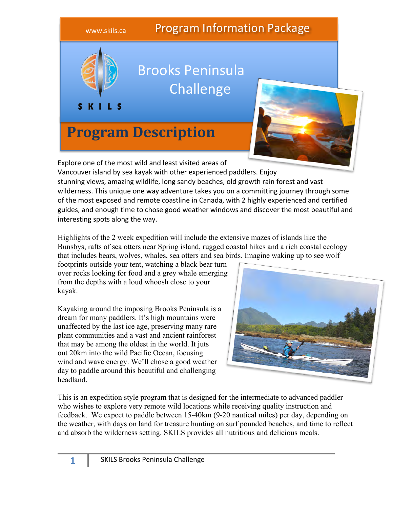

Explore one of the most wild and least visited areas of

Vancouver island by sea kayak with other experienced paddlers. Enjoy stunning views, amazing wildlife, long sandy beaches, old growth rain forest and vast wilderness. This unique one way adventure takes you on a committing journey through some of the most exposed and remote coastline in Canada, with 2 highly experienced and certified guides, and enough time to chose good weather windows and discover the most beautiful and interesting spots along the way.

Highlights of the 2 week expedition will include the extensive mazes of islands like the Bunsbys, rafts of sea otters near Spring island, rugged coastal hikes and a rich coastal ecology that includes bears, wolves, whales, sea otters and sea birds. Imagine waking up to see wolf

footprints outside your tent, watching a black bear turn over rocks looking for food and a grey whale emerging from the depths with a loud whoosh close to your kayak.

Kayaking around the imposing Brooks Peninsula is a dream for many paddlers. It's high mountains were unaffected by the last ice age, preserving many rare plant communities and a vast and ancient rainforest that may be among the oldest in the world. It juts out 20km into the wild Pacific Ocean, focusing wind and wave energy. We'll chose a good weather day to paddle around this beautiful and challenging headland.



This is an expedition style program that is designed for the intermediate to advanced paddler who wishes to explore very remote wild locations while receiving quality instruction and feedback. We expect to paddle between 15-40km (9-20 nautical miles) per day, depending on the weather, with days on land for treasure hunting on surf pounded beaches, and time to reflect and absorb the wilderness setting. SKILS provides all nutritious and delicious meals.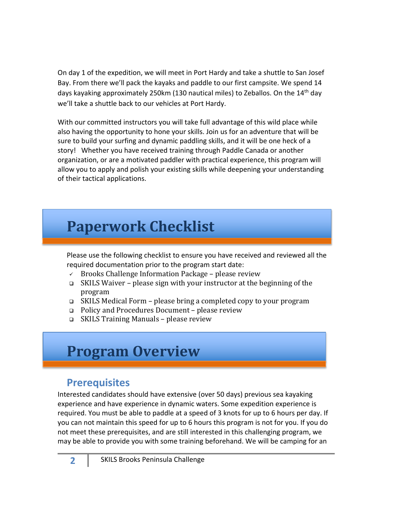On day 1 of the expedition, we will meet in Port Hardy and take a shuttle to San Josef Bay. From there we'll pack the kayaks and paddle to our first campsite. We spend 14 days kayaking approximately 250km (130 nautical miles) to Zeballos. On the 14th day we'll take a shuttle back to our vehicles at Port Hardy.

With our committed instructors you will take full advantage of this wild place while also having the opportunity to hone your skills. Join us for an adventure that will be sure to build your surfing and dynamic paddling skills, and it will be one heck of a story! Whether you have received training through Paddle Canada or another organization, or are a motivated paddler with practical experience, this program will allow you to apply and polish your existing skills while deepening your understanding of their tactical applications.

# **Paperwork Checklist**

Please use the following checklist to ensure you have received and reviewed all the required documentation prior to the program start date:

- $\checkmark$  Brooks Challenge Information Package please review
- $\Box$  SKILS Waiver please sign with your instructor at the beginning of the program
- **□** SKILS Medical Form please bring a completed copy to your program
- □ Policy and Procedures Document please review
- $\Box$  SKILS Training Manuals please review

# **Program Overview**

## **Prerequisites**

Interested candidates should have extensive (over 50 days) previous sea kayaking experience and have experience in dynamic waters. Some expedition experience is required. You must be able to paddle at a speed of 3 knots for up to 6 hours per day. If you can not maintain this speed for up to 6 hours this program is not for you. If you do not meet these prerequisites, and are still interested in this challenging program, we may be able to provide you with some training beforehand. We will be camping for an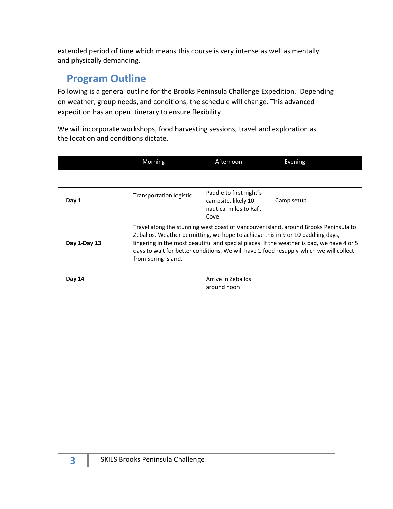extended period of time which means this course is very intense as well as mentally and physically demanding.

### **Program Outline**

Following is a general outline for the Brooks Peninsula Challenge Expedition. Depending on weather, group needs, and conditions, the schedule will change. This advanced expedition has an open itinerary to ensure flexibility

We will incorporate workshops, food harvesting sessions, travel and exploration as the location and conditions dictate.

|              | Morning                                                                                                                                                                                                                                                                                                                                                                               | Afternoon                                                                        | Evening    |
|--------------|---------------------------------------------------------------------------------------------------------------------------------------------------------------------------------------------------------------------------------------------------------------------------------------------------------------------------------------------------------------------------------------|----------------------------------------------------------------------------------|------------|
|              |                                                                                                                                                                                                                                                                                                                                                                                       |                                                                                  |            |
| Day 1        | Transportation logistic                                                                                                                                                                                                                                                                                                                                                               | Paddle to first night's<br>campsite, likely 10<br>nautical miles to Raft<br>Cove | Camp setup |
| Day 1-Day 13 | Travel along the stunning west coast of Vancouver island, around Brooks Peninsula to<br>Zeballos. Weather permitting, we hope to achieve this in 9 or 10 paddling days,<br>lingering in the most beautiful and special places. If the weather is bad, we have 4 or 5<br>days to wait for better conditions. We will have 1 food resupply which we will collect<br>from Spring Island. |                                                                                  |            |
| Day 14       |                                                                                                                                                                                                                                                                                                                                                                                       | Arrive in Zeballos<br>around noon                                                |            |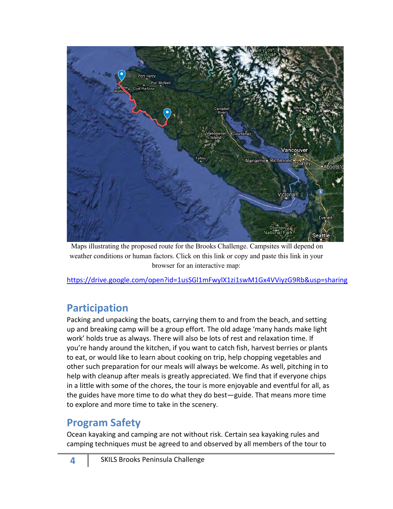

Maps illustrating the proposed route for the Brooks Challenge. Campsites will depend on weather conditions or human factors. Click on this link or copy and paste this link in your browser for an interactive map:

https://drive.google.com/open?id=1usSGl1mFwylX1zi1swM1Gx4VViyzG9Rb&usp=sharing

### **Participation**

Packing and unpacking the boats, carrying them to and from the beach, and setting up and breaking camp will be a group effort. The old adage 'many hands make light work' holds true as always. There will also be lots of rest and relaxation time. If you're handy around the kitchen, if you want to catch fish, harvest berries or plants to eat, or would like to learn about cooking on trip, help chopping vegetables and other such preparation for our meals will always be welcome. As well, pitching in to help with cleanup after meals is greatly appreciated. We find that if everyone chips in a little with some of the chores, the tour is more enjoyable and eventful for all, as the guides have more time to do what they do best—guide. That means more time to explore and more time to take in the scenery.

### **Program Safety**

Ocean kayaking and camping are not without risk. Certain sea kayaking rules and camping techniques must be agreed to and observed by all members of the tour to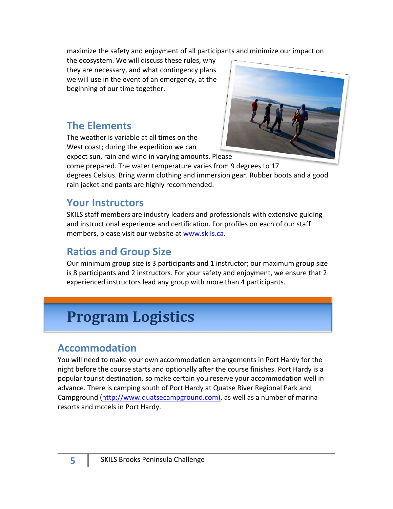maximize the safety and enjoyment of all participants and minimize our impact on

the ecosystem. We will discuss these rules, why they are necessary, and what contingency plans we will use in the event of an emergency, at the beginning of our time together.

### **The Elements**

The weather is variable at all times on the West coast; during the expedition we can expect sun, rain and wind in varying amounts. Please



come prepared. The water temperature varies from 9 degrees to 17 degrees Celsius. Bring warm clothing and immersion gear. Rubber boots and a good rain jacket and pants are highly recommended.

### **Your Instructors**

SKILS staff members are industry leaders and professionals with extensive guiding and instructional experience and certification. For profiles on each of our staff members, please visit our website at www.skils.ca.

### **Ratios and Group Size**

Our minimum group size is 3 participants and 1 instructor; our maximum group size is 8 participants and 2 instructors. For your safety and enjoyment, we ensure that 2 experienced instructors lead any group with more than 4 participants.

# **Program Logistics**

### **Accommodation**

You will need to make your own accommodation arrangements in Port Hardy for the night before the course starts and optionally after the course finishes. Port Hardy is a popular tourist destination, so make certain you reserve your accommodation well in advance. There is camping south of Port Hardy at Quatse River Regional Park and Campground (http://www.quatsecampground.com), as well as a number of marina resorts and motels in Port Hardy.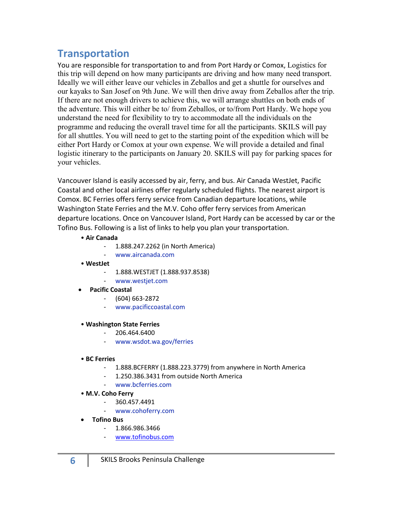### **Transportation**

You are responsible for transportation to and from Port Hardy or Comox, Logistics for this trip will depend on how many participants are driving and how many need transport. Ideally we will either leave our vehicles in Zeballos and get a shuttle for ourselves and our kayaks to San Josef on 9th June. We will then drive away from Zeballos after the trip. If there are not enough drivers to achieve this, we will arrange shuttles on both ends of the adventure. This will either be to/ from Zeballos, or to/from Port Hardy. We hope you understand the need for flexibility to try to accommodate all the individuals on the programme and reducing the overall travel time for all the participants. SKILS will pay for all shuttles. You will need to get to the starting point of the expedition which will be either Port Hardy or Comox at your own expense. We will provide a detailed and final logistic itinerary to the participants on January 20. SKILS will pay for parking spaces for your vehicles.

Vancouver Island is easily accessed by air, ferry, and bus. Air Canada WestJet, Pacific Coastal and other local airlines offer regularly scheduled flights. The nearest airport is Comox. BC Ferries offers ferry service from Canadian departure locations, while Washington State Ferries and the M.V. Coho offer ferry services from American departure locations. Once on Vancouver Island, Port Hardy can be accessed by car or the Tofino Bus. Following is a list of links to help you plan your transportation.

#### • **Air Canada**

- 1.888.247.2262 (in North America)
- www.aircanada.com
- **WestJet**
	- 1.888.WESTJET (1.888.937.8538)
	- www.westjet.com
- **Pacific Coastal**
	- (604) 663-2872
	- www.pacificcoastal.com

#### • **Washington State Ferries**

- 206.464.6400
- www.wsdot.wa.gov/ferries
- **BC Ferries**
	- 1.888.BCFERRY (1.888.223.3779) from anywhere in North America
	- 1.250.386.3431 from outside North America
	- www.bcferries.com
- **M.V. Coho Ferry**
	- 360.457.4491
	- www.cohoferry.com
- **Tofino Bus**
	- 1.866.986.3466
	- www.tofinobus.com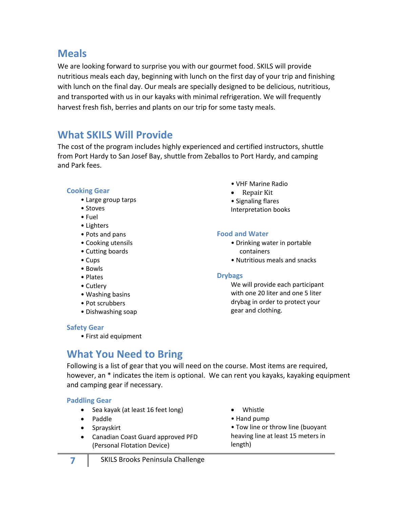### **Meals**

We are looking forward to surprise you with our gourmet food. SKILS will provide nutritious meals each day, beginning with lunch on the first day of your trip and finishing with lunch on the final day. Our meals are specially designed to be delicious, nutritious, and transported with us in our kayaks with minimal refrigeration. We will frequently harvest fresh fish, berries and plants on our trip for some tasty meals.

### **What SKILS Will Provide**

The cost of the program includes highly experienced and certified instructors, shuttle from Port Hardy to San Josef Bay, shuttle from Zeballos to Port Hardy, and camping and Park fees.

### **Cooking Gear**

- Large group tarps
- Stoves
- Fuel
- Lighters
- Pots and pans
- Cooking utensils
- Cutting boards
- Cups
- Bowls
- Plates
- Cutlery
- Washing basins
- Pot scrubbers
- Dishwashing soap

#### **Safety Gear**

• First aid equipment

- VHF Marine Radio
- $\bullet$  Repair Kit
- Signaling flares Interpretation books

#### **Food and Water**

- Drinking water in portable containers
- Nutritious meals and snacks

#### **Drybags**

We will provide each participant with one 20 liter and one 5 liter drybag in order to protect your gear and clothing.

### **What You Need to Bring**

Following is a list of gear that you will need on the course. Most items are required, however, an \* indicates the item is optional. We can rent you kayaks, kayaking equipment and camping gear if necessary.

#### **Paddling Gear**

- Sea kayak (at least 16 feet long)
- Paddle
- Sprayskirt
- Canadian Coast Guard approved PFD (Personal Flotation Device)
- Whistle
- Hand pump

• Tow line or throw line (buoyant heaving line at least 15 meters in length)

**7** SKILS Brooks Peninsula Challenge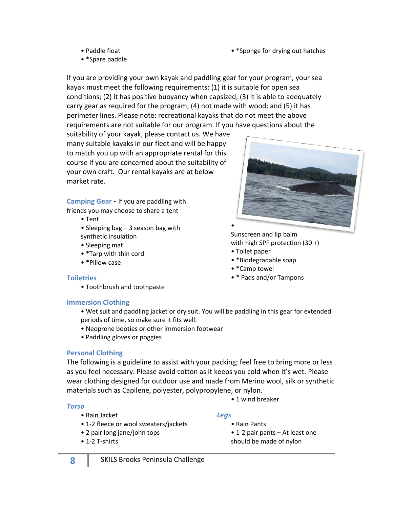• \*Sponge for drying out hatches

- Paddle float
- \*Spare paddle

If you are providing your own kayak and paddling gear for your program, your sea kayak must meet the following requirements: (1) it is suitable for open sea conditions; (2) it has positive buoyancy when capsized; (3) it is able to adequately carry gear as required for the program; (4) not made with wood; and (5) it has perimeter lines. Please note: recreational kayaks that do not meet the above requirements are not suitable for our program. If you have questions about the

suitability of your kayak, please contact us. We have many suitable kayaks in our fleet and will be happy to match you up with an appropriate rental for this course if you are concerned about the suitability of your own craft. Our rental kayaks are at below market rate.

**Camping Gear** - If you are paddling with

- friends you may choose to share a tent
	- Tent
	- Sleeping bag 3 season bag with synthetic insulation
	- Sleeping mat
	- \*Tarp with thin cord
	- \*Pillow case

Sunscreen and lip balm with high SPF protection (30 +)

• Toilet paper

•

- \*Biodegradable soap
- \*Camp towel
- \* Pads and/or Tampons

#### **Toiletries**

• Toothbrush and toothpaste

#### **Immersion Clothing**

- Wet suit and paddling jacket or dry suit. You will be paddling in this gear for extended periods of time, so make sure it fits well.
- Neoprene booties or other immersion footwear
- Paddling gloves or poggies

### **Personal Clothing**

The following is a guideline to assist with your packing; feel free to bring more or less as you feel necessary. Please avoid cotton as it keeps you cold when it's wet. Please wear clothing designed for outdoor use and made from Merino wool, silk or synthetic materials such as Capilene, polyester, polypropylene, or nylon.

#### *Torso*

- Rain Jacket
- 1-2 fleece or wool sweaters/jackets
- 2 pair long jane/john tops
- 1-2 T-shirts

#### *Legs*

- Rain Pants
	- 1-2 pair pants At least one should be made of nylon

• 1 wind breaker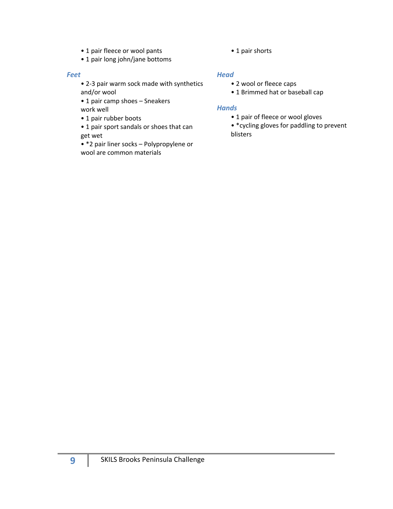- 1 pair fleece or wool pants
- 1 pair long john/jane bottoms

#### *Feet*

- 2-3 pair warm sock made with synthetics and/or wool
- 1 pair camp shoes Sneakers work well
- 1 pair rubber boots
- 1 pair sport sandals or shoes that can get wet
- \*2 pair liner socks Polypropylene or wool are common materials

• 1 pair shorts

### *Head*

- 2 wool or fleece caps
- 1 Brimmed hat or baseball cap

#### *Hands*

- 1 pair of fleece or wool gloves
- \*cycling gloves for paddling to prevent blisters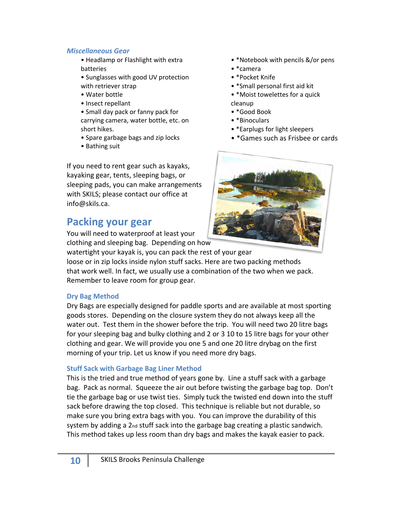#### *Miscellaneous Gear*

- Headlamp or Flashlight with extra batteries
- Sunglasses with good UV protection with retriever strap
- Water bottle
- Insect repellant
- Small day pack or fanny pack for carrying camera, water bottle, etc. on short hikes.
- Spare garbage bags and zip locks
- Bathing suit

If you need to rent gear such as kayaks, kayaking gear, tents, sleeping bags, or sleeping pads, you can make arrangements with SKILS; please contact our office at info@skils.ca.

### **Packing your gear**

You will need to waterproof at least your clothing and sleeping bag. Depending on how

watertight your kayak is, you can pack the rest of your gear

loose or in zip locks inside nylon stuff sacks. Here are two packing methods that work well. In fact, we usually use a combination of the two when we pack. Remember to leave room for group gear.

### **Dry Bag Method**

Dry Bags are especially designed for paddle sports and are available at most sporting goods stores. Depending on the closure system they do not always keep all the water out. Test them in the shower before the trip. You will need two 20 litre bags for your sleeping bag and bulky clothing and 2 or 3 10 to 15 litre bags for your other clothing and gear. We will provide you one 5 and one 20 litre drybag on the first morning of your trip. Let us know if you need more dry bags.

### **Stuff Sack with Garbage Bag Liner Method**

This is the tried and true method of years gone by. Line a stuff sack with a garbage bag. Pack as normal. Squeeze the air out before twisting the garbage bag top. Don't tie the garbage bag or use twist ties. Simply tuck the twisted end down into the stuff sack before drawing the top closed. This technique is reliable but not durable, so make sure you bring extra bags with you. You can improve the durability of this system by adding a 2nd stuff sack into the garbage bag creating a plastic sandwich. This method takes up less room than dry bags and makes the kayak easier to pack.

- \*Notebook with pencils &/or pens
- \*camera
- \*Pocket Knife
- \*Small personal first aid kit
- \*Moist towelettes for a quick cleanup
- \*Good Book
- \*Binoculars
- \*Earplugs for light sleepers
- \*Games such as Frisbee or cards